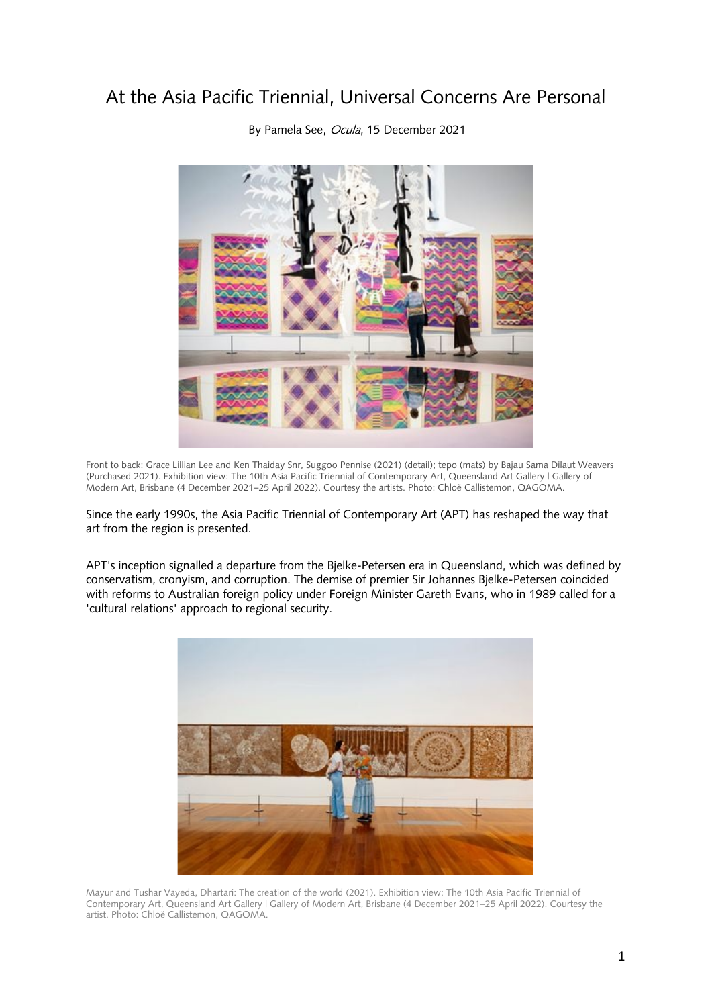## At the Asia Pacific Triennial, Universal Concerns Are Personal



By Pamela See, Ocula, 15 December 2021

Front to back: Grace Lillian Lee and Ken Thaiday Snr, Suggoo Pennise (2021) (detail); tepo (mats) by Bajau Sama Dilaut Weavers (Purchased 2021). Exhibition view: The 10th Asia Pacific Triennial of Contemporary Art, Queensland Art Gallery | Gallery of Modern Art, Brisbane (4 December 2021–25 April 2022). Courtesy the artists. Photo: Chloë Callistemon, QAGOMA.

Since the early 1990s, the Asia Pacific Triennial of Contemporary Art (APT) has reshaped the way that art from the region is presented.

APT's inception signalled a departure from the Bjelke-Petersen era in Queensland, which was defined by conservatism, cronyism, and corruption. The demise of premier Sir Johannes Bjelke-Petersen coincided with reforms to Australian foreign policy under Foreign Minister Gareth Evans, who in 1989 called for a 'cultural relations' approach to regional security.



Mayur and Tushar Vayeda, Dhartari: The creation of the world (2021). Exhibition view: The 10th Asia Pacific Triennial of Contemporary Art, Queensland Art Gallery | Gallery of Modern Art, Brisbane (4 December 2021–25 April 2022). Courtesy the artist. Photo: Chloë Callistemon, QAGOMA.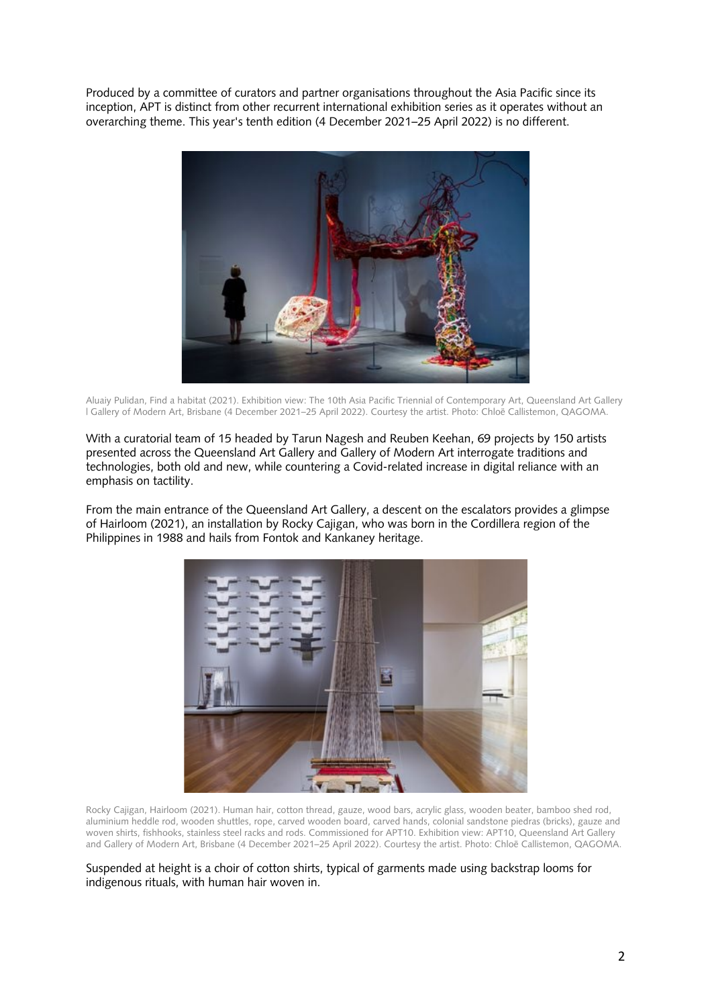Produced by a committee of curators and partner organisations throughout the Asia Pacific since its inception, APT is distinct from other recurrent international exhibition series as it operates without an overarching theme. This year's tenth edition (4 December 2021–25 April 2022) is no different.



Aluaiy Pulidan, Find a habitat (2021). Exhibition view: The 10th Asia Pacific Triennial of Contemporary Art, Queensland Art Gallery | Gallery of Modern Art, Brisbane (4 December 2021–25 April 2022). Courtesy the artist. Photo: Chloë Callistemon, QAGOMA.

With a curatorial team of 15 headed by Tarun Nagesh and Reuben Keehan, 69 projects by 150 artists presented across the Queensland Art Gallery and Gallery of Modern Art interrogate traditions and technologies, both old and new, while countering a Covid-related increase in digital reliance with an emphasis on tactility.

From the main entrance of the Queensland Art Gallery, a descent on the escalators provides a glimpse of Hairloom (2021), an installation by Rocky Cajigan, who was born in the Cordillera region of the Philippines in 1988 and hails from Fontok and Kankaney heritage.



Rocky Cajigan, Hairloom (2021). Human hair, cotton thread, gauze, wood bars, acrylic glass, wooden beater, bamboo shed rod, aluminium heddle rod, wooden shuttles, rope, carved wooden board, carved hands, colonial sandstone piedras (bricks), gauze and woven shirts, fishhooks, stainless steel racks and rods. Commissioned for APT10. Exhibition view: APT10, Queensland Art Gallery and Gallery of Modern Art, Brisbane (4 December 2021–25 April 2022). Courtesy the artist. Photo: Chloë Callistemon, QAGOMA.

Suspended at height is a choir of cotton shirts, typical of garments made using backstrap looms for indigenous rituals, with human hair woven in.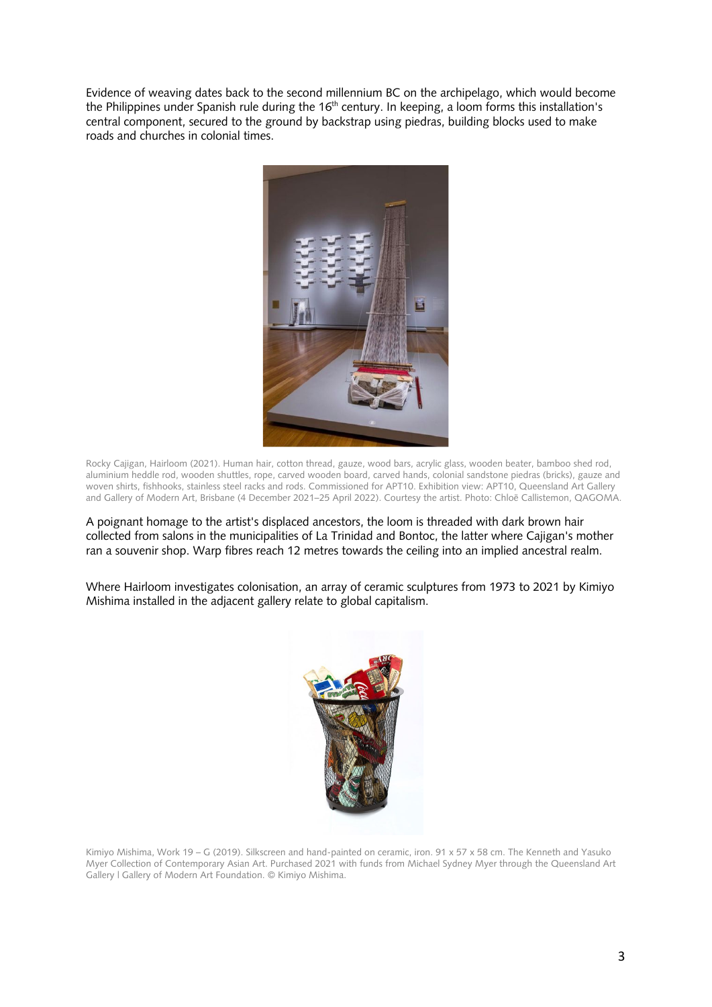Evidence of weaving dates back to the second millennium BC on the archipelago, which would become the Philippines under Spanish rule during the 16<sup>th</sup> century. In keeping, a loom forms this installation's central component, secured to the ground by backstrap using piedras, building blocks used to make roads and churches in colonial times.



Rocky Cajigan, Hairloom (2021). Human hair, cotton thread, gauze, wood bars, acrylic glass, wooden beater, bamboo shed rod, aluminium heddle rod, wooden shuttles, rope, carved wooden board, carved hands, colonial sandstone piedras (bricks), gauze and woven shirts, fishhooks, stainless steel racks and rods. Commissioned for APT10. Exhibition view: APT10, Queensland Art Gallery and Gallery of Modern Art, Brisbane (4 December 2021–25 April 2022). Courtesy the artist. Photo: Chloë Callistemon, QAGOMA.

A poignant homage to the artist's displaced ancestors, the loom is threaded with dark brown hair collected from salons in the municipalities of La Trinidad and Bontoc, the latter where Cajigan's mother ran a souvenir shop. Warp fibres reach 12 metres towards the ceiling into an implied ancestral realm.

Where Hairloom investigates colonisation, an array of ceramic sculptures from 1973 to 2021 by Kimiyo Mishima installed in the adjacent gallery relate to global capitalism.



Kimiyo Mishima, Work 19 – G (2019). Silkscreen and hand-painted on ceramic, iron. 91 x 57 x 58 cm. The Kenneth and Yasuko Myer Collection of Contemporary Asian Art. Purchased 2021 with funds from Michael Sydney Myer through the Queensland Art Gallery | Gallery of Modern Art Foundation. © Kimiyo Mishima.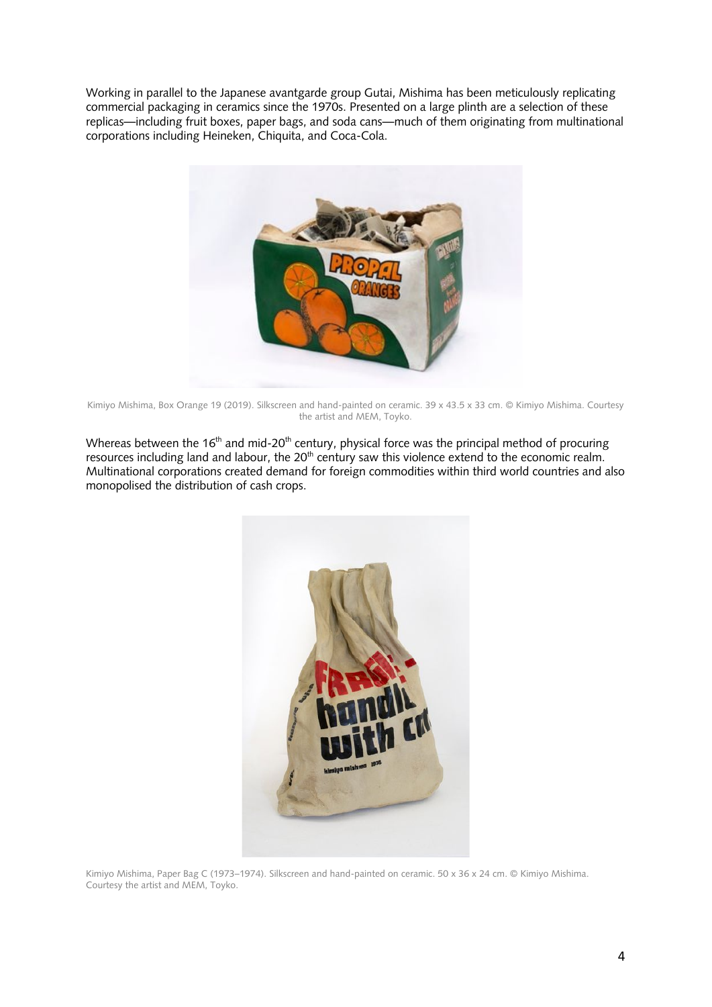Working in parallel to the Japanese avantgarde group Gutai, Mishima has been meticulously replicating commercial packaging in ceramics since the 1970s. Presented on a large plinth are a selection of these replicas—including fruit boxes, paper bags, and soda cans—much of them originating from multinational corporations including Heineken, Chiquita, and Coca-Cola.



Kimiyo Mishima, Box Orange 19 (2019). Silkscreen and hand-painted on ceramic. 39 x 43.5 x 33 cm. © Kimiyo Mishima. Courtesy the artist and MEM, Toyko.

Whereas between the 16<sup>th</sup> and mid-20<sup>th</sup> century, physical force was the principal method of procuring resources including land and labour, the 20<sup>th</sup> century saw this violence extend to the economic realm. Multinational corporations created demand for foreign commodities within third world countries and also monopolised the distribution of cash crops.



Kimiyo Mishima, Paper Bag C (1973–1974). Silkscreen and hand-painted on ceramic. 50 x 36 x 24 cm. © Kimiyo Mishima. Courtesy the artist and MEM, Toyko.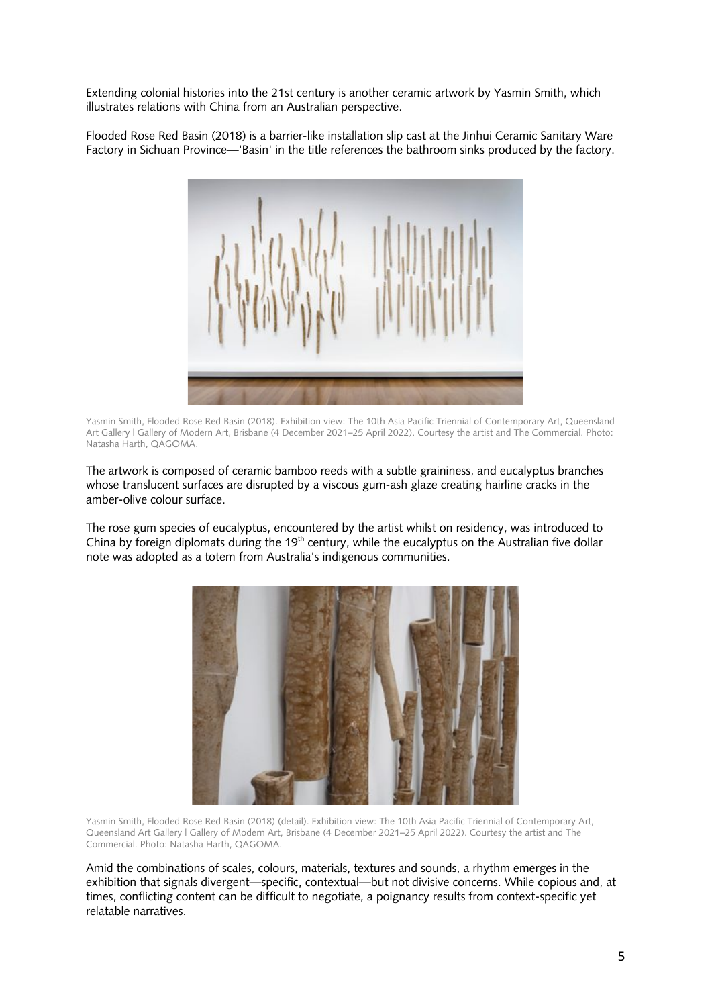Extending colonial histories into the 21st century is another ceramic artwork by Yasmin Smith, which illustrates relations with China from an Australian perspective.

Flooded Rose Red Basin (2018) is a barrier-like installation slip cast at the Jinhui Ceramic Sanitary Ware Factory in Sichuan Province—'Basin' in the title references the bathroom sinks produced by the factory.



Yasmin Smith, Flooded Rose Red Basin (2018). Exhibition view: The 10th Asia Pacific Triennial of Contemporary Art, Queensland Art Gallery | Gallery of Modern Art, Brisbane (4 December 2021–25 April 2022). Courtesy the artist and The Commercial. Photo: Natasha Harth, QAGOMA.

The artwork is composed of ceramic bamboo reeds with a subtle graininess, and eucalyptus branches whose translucent surfaces are disrupted by a viscous gum-ash glaze creating hairline cracks in the amber-olive colour surface.

The rose gum species of eucalyptus, encountered by the artist whilst on residency, was introduced to China by foreign diplomats during the 19<sup>th</sup> century, while the eucalyptus on the Australian five dollar note was adopted as a totem from Australia's indigenous communities.



Yasmin Smith, Flooded Rose Red Basin (2018) (detail). Exhibition view: The 10th Asia Pacific Triennial of Contemporary Art, Queensland Art Gallery | Gallery of Modern Art, Brisbane (4 December 2021–25 April 2022). Courtesy the artist and The Commercial. Photo: Natasha Harth, QAGOMA.

Amid the combinations of scales, colours, materials, textures and sounds, a rhythm emerges in the exhibition that signals divergent—specific, contextual—but not divisive concerns. While copious and, at times, conflicting content can be difficult to negotiate, a poignancy results from context-specific yet relatable narratives.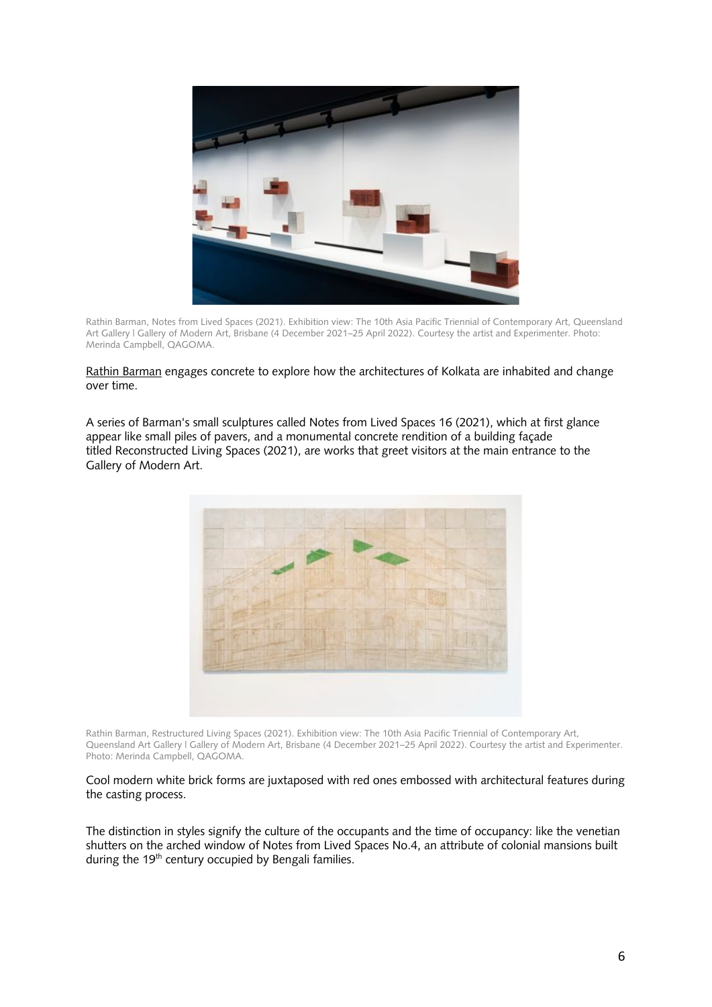

Rathin Barman, Notes from Lived Spaces (2021). Exhibition view: The 10th Asia Pacific Triennial of Contemporary Art, Queensland Art Gallery | Gallery of Modern Art, Brisbane (4 December 2021–25 April 2022). Courtesy the artist and Experimenter. Photo: Merinda Campbell, QAGOMA.

Rathin Barman engages concrete to explore how the architectures of Kolkata are inhabited and change over time.

A series of Barman's small sculptures called Notes from Lived Spaces 16 (2021), which at first glance appear like small piles of pavers, and a monumental concrete rendition of a building façade titled Reconstructed Living Spaces (2021), are works that greet visitors at the main entrance to the Gallery of Modern Art.



Rathin Barman, Restructured Living Spaces (2021). Exhibition view: The 10th Asia Pacific Triennial of Contemporary Art, Queensland Art Gallery | Gallery of Modern Art, Brisbane (4 December 2021–25 April 2022). Courtesy the artist and Experimenter. Photo: Merinda Campbell, QAGOMA.

Cool modern white brick forms are juxtaposed with red ones embossed with architectural features during the casting process.

The distinction in styles signify the culture of the occupants and the time of occupancy: like the venetian shutters on the arched window of Notes from Lived Spaces No.4, an attribute of colonial mansions built during the  $19<sup>th</sup>$  century occupied by Bengali families.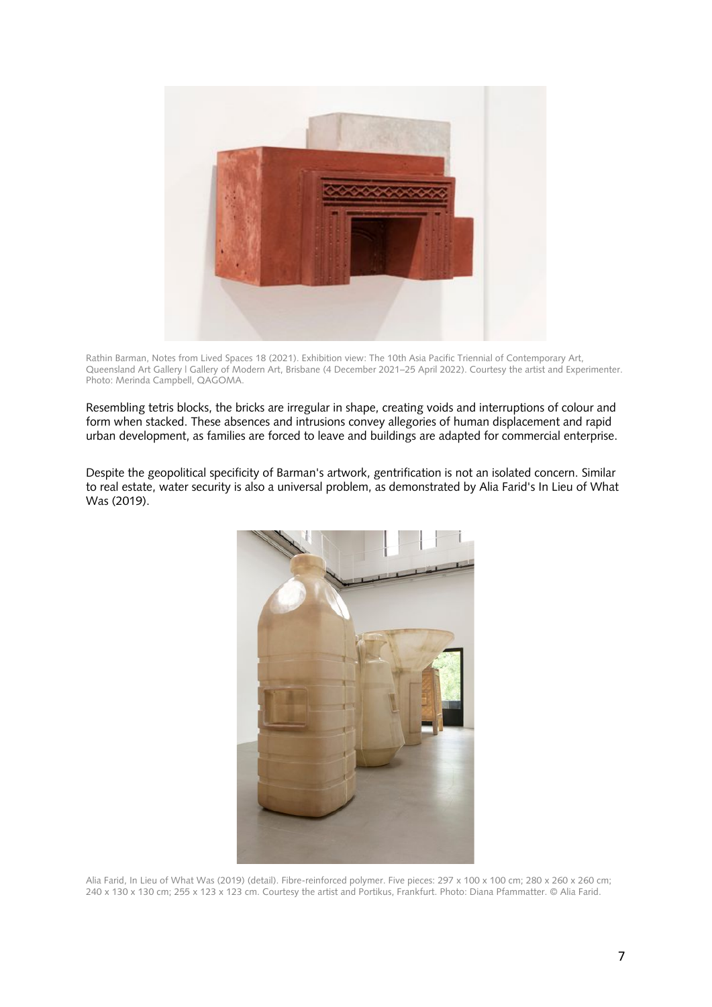

Rathin Barman, Notes from Lived Spaces 18 (2021). Exhibition view: The 10th Asia Pacific Triennial of Contemporary Art, Queensland Art Gallery | Gallery of Modern Art, Brisbane (4 December 2021–25 April 2022). Courtesy the artist and Experimenter. Photo: Merinda Campbell, QAGOMA.

Resembling tetris blocks, the bricks are irregular in shape, creating voids and interruptions of colour and form when stacked. These absences and intrusions convey allegories of human displacement and rapid urban development, as families are forced to leave and buildings are adapted for commercial enterprise.

Despite the geopolitical specificity of Barman's artwork, gentrification is not an isolated concern. Similar to real estate, water security is also a universal problem, as demonstrated by Alia Farid's In Lieu of What Was (2019).



Alia Farid, In Lieu of What Was (2019) (detail). Fibre-reinforced polymer. Five pieces: 297 x 100 x 100 cm; 280 x 260 x 260 cm; 240 x 130 x 130 cm; 255 x 123 x 123 cm. Courtesy the artist and Portikus, Frankfurt. Photo: Diana Pfammatter. © Alia Farid.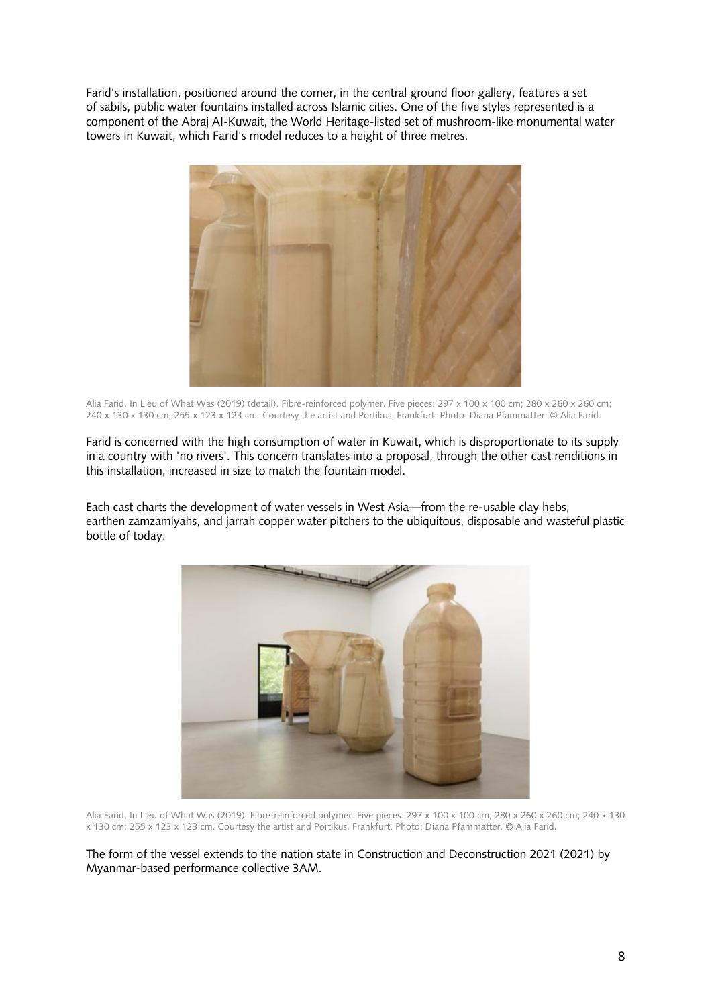Farid's installation, positioned around the corner, in the central ground floor gallery, features a set of sabils, public water fountains installed across Islamic cities. One of the five styles represented is a component of the Abraj AI-Kuwait, the World Heritage-listed set of mushroom-like monumental water towers in Kuwait, which Farid's model reduces to a height of three metres.



Alia Farid, In Lieu of What Was (2019) (detail). Fibre-reinforced polymer. Five pieces: 297 x 100 x 100 cm; 280 x 260 x 260 cm; 240 x 130 x 130 cm; 255 x 123 x 123 cm. Courtesy the artist and Portikus, Frankfurt. Photo: Diana Pfammatter. © Alia Farid.

Farid is concerned with the high consumption of water in Kuwait, which is disproportionate to its supply in a country with 'no rivers'. This concern translates into a proposal, through the other cast renditions in this installation, increased in size to match the fountain model.

Each cast charts the development of water vessels in West Asia—from the re-usable clay hebs, earthen zamzamiyahs, and jarrah copper water pitchers to the ubiquitous, disposable and wasteful plastic bottle of today.



Alia Farid, In Lieu of What Was (2019). Fibre-reinforced polymer. Five pieces: 297 x 100 x 100 cm; 280 x 260 x 260 cm; 240 x 130 x 130 cm; 255 x 123 x 123 cm. Courtesy the artist and Portikus, Frankfurt. Photo: Diana Pfammatter. © Alia Farid.

The form of the vessel extends to the nation state in Construction and Deconstruction 2021 (2021) by Myanmar-based performance collective 3AM.